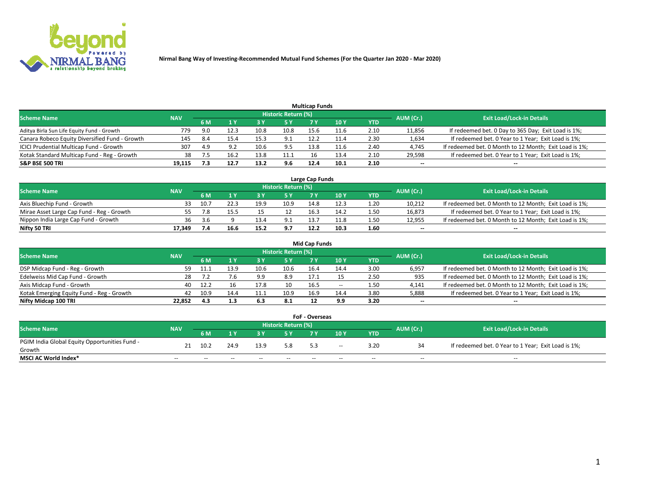

| <b>Multicap Funds</b>                          |            |      |      |      |                     |      |      |      |                          |                                                        |  |  |  |  |
|------------------------------------------------|------------|------|------|------|---------------------|------|------|------|--------------------------|--------------------------------------------------------|--|--|--|--|
| Scheme Name                                    | <b>NAV</b> |      |      |      | Historic Return (%) |      |      |      | AUM (Cr.)                | <b>Exit Load/Lock-in Details</b>                       |  |  |  |  |
|                                                |            | 6 M  |      |      | 5 Y                 |      | 10 ۱ | YTD  |                          |                                                        |  |  |  |  |
| Aditya Birla Sun Life Equity Fund - Growth     | 779        | 9.0  |      |      | 10.8                | 15.6 | 11.6 | 2.10 | 11,856                   | If redeemed bet. 0 Day to 365 Day; Exit Load is 1%;    |  |  |  |  |
| Canara Robeco Equity Diversified Fund - Growth | 145        | -8.4 | 15.4 | 15.3 | 9.1                 | 12.2 |      | 2.30 | 1,634                    | If redeemed bet. 0 Year to 1 Year; Exit Load is 1%;    |  |  |  |  |
| ICICI Prudential Multicap Fund - Growth        | 307        | 4.9  |      | 10.6 | 9.5                 | 13.8 | 11.6 | 2.40 | 4,745                    | If redeemed bet. 0 Month to 12 Month; Exit Load is 1%; |  |  |  |  |
| Kotak Standard Multicap Fund - Reg - Growth    | 38         |      | 16.2 | 13.8 | 11.1                | Ιb   | 13.4 | 2.10 | 29,598                   | If redeemed bet. 0 Year to 1 Year; Exit Load is 1%;    |  |  |  |  |
| <b>S&amp;P BSE 500 TRI</b>                     | 19.115     |      | 12.7 | 13.2 | 9.6                 | 12.4 | 10.1 | 2.10 | $\overline{\phantom{a}}$ | $- -$                                                  |  |  |  |  |

| Large Cap Funds                           |            |           |                                  |      |      |      |      |      |        |                                                        |  |  |  |  |
|-------------------------------------------|------------|-----------|----------------------------------|------|------|------|------|------|--------|--------------------------------------------------------|--|--|--|--|
| Scheme Name                               | <b>NAV</b> | AUM (Cr.) | <b>Exit Load/Lock-in Details</b> |      |      |      |      |      |        |                                                        |  |  |  |  |
|                                           |            | 6 M       |                                  |      | 5 Y  |      | 10Y  | YTD  |        |                                                        |  |  |  |  |
| Axis Bluechip Fund - Growth               |            | 10.7      |                                  | 19.9 | 10.9 | 14.8 |      | 1.20 | 10,212 | If redeemed bet. 0 Month to 12 Month; Exit Load is 1%; |  |  |  |  |
| Mirae Asset Large Cap Fund - Reg - Growth |            |           |                                  |      |      | 16.3 | 14.2 | 1.50 | 16,873 | If redeemed bet. 0 Year to 1 Year; Exit Load is 1%;    |  |  |  |  |
| Nippon India Large Cap Fund - Growth      | 36         | .3.b      |                                  | 13.4 | 9.1  | 12.7 | 11.8 | 1.50 | 12,955 | If redeemed bet. 0 Month to 12 Month; Exit Load is 1%; |  |  |  |  |
| Nifty 50 TRI                              | 17.349     |           | 16.6                             | 15.2 | 9.7  | 12.2 | 10.3 | 1.60 | $\sim$ | $-$                                                    |  |  |  |  |

|                                           |            |      |      |      |                     | <b>Mid Cap Funds</b> |        |            |           |                                                        |
|-------------------------------------------|------------|------|------|------|---------------------|----------------------|--------|------------|-----------|--------------------------------------------------------|
| <b>Scheme Name</b>                        | <b>NAV</b> |      |      |      | Historic Return (%) |                      |        |            | AUM (Cr.) | <b>Exit Load/Lock-in Details</b>                       |
|                                           |            | 6 M  |      |      |                     |                      | 10Y    | <b>YTD</b> |           |                                                        |
| DSP Midcap Fund - Reg - Growth            | 59.        | 11   |      | 10.6 | 10.6                | 16.4                 | 14.4   | 3.00       | 6,957     | If redeemed bet. 0 Month to 12 Month; Exit Load is 1%; |
| Edelweiss Mid Cap Fund - Growth           | 28         |      |      | 9.9  | 8.9                 | 17.1                 |        | 2.50       | 935       | If redeemed bet. 0 Month to 12 Month; Exit Load is 1%; |
| Axis Midcap Fund - Growth                 | 40         | 12.2 |      | 17.8 | 10                  | 16.5                 | $\sim$ | 1.50       | 4,141     | If redeemed bet. 0 Month to 12 Month; Exit Load is 1%; |
| Kotak Emerging Equity Fund - Reg - Growth | 42         | 10.9 | 14.4 | 11.1 | 10.9                | 16.9                 | 14.4   | 3.80       | 5,888     | If redeemed bet. 0 Year to 1 Year; Exit Load is 1%;    |
| Nifty Midcap 100 TRI                      | 22.852     | 4.3  | 1.3  | 6.3  | 8.1                 |                      | 9.9    | 3.20       | $\sim$    | $- -$                                                  |

| <b>FoF - Overseas</b>                         |            |       |                                  |       |       |     |        |            |           |                                                     |  |  |  |
|-----------------------------------------------|------------|-------|----------------------------------|-------|-------|-----|--------|------------|-----------|-----------------------------------------------------|--|--|--|
| <b>Scheme Name</b>                            | <b>NAV</b> |       | <b>Exit Load/Lock-in Details</b> |       |       |     |        |            |           |                                                     |  |  |  |
|                                               |            | 6 M   |                                  |       |       |     | 10Y    | <b>YTD</b> | AUM (Cr.) |                                                     |  |  |  |
| PGIM India Global Equity Opportunities Fund - | 21         | 10.2  | 24.9                             | 13.9  | 5.8   |     | $\sim$ | 3.20       |           | If redeemed bet. 0 Year to 1 Year; Exit Load is 1%; |  |  |  |
| Growth                                        |            |       |                                  |       |       | 5.3 |        |            |           |                                                     |  |  |  |
| <b>MSCI AC World Index*</b>                   | $- -$      | $- -$ | $- -$                            | $- -$ | $- -$ | --  | $- -$  | $- -$      | $- -$     | $- -$                                               |  |  |  |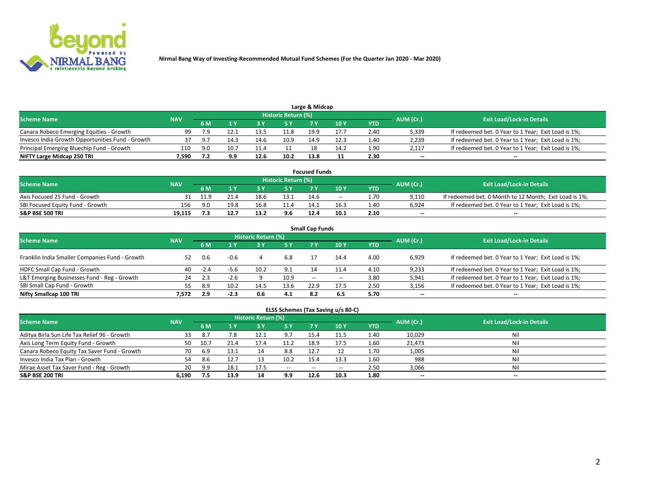

| <b>Scheme Name</b>                               |            |     |      |      | Historic Return (%) |      |      |            |                          |                                                     |
|--------------------------------------------------|------------|-----|------|------|---------------------|------|------|------------|--------------------------|-----------------------------------------------------|
|                                                  | <b>NAV</b> | 5 M |      |      |                     |      | 10Y  | <b>YTD</b> | AUM (Cr.)                | <b>Exit Load/Lock-in Details</b>                    |
| Canara Robeco Emerging Equities - Growth         | 99         |     |      | 13.5 | 11.8                | 19.9 | 17.7 | 2.40       | 5,339                    | If redeemed bet. 0 Year to 1 Year; Exit Load is 1%; |
| Invesco India Growth Opportunities Fund - Growth | 37         | ີດ. | 14.3 | 14.6 | 10.9                | 14.9 | 12.3 | 1.40       | 2,239                    | If redeemed bet. 0 Year to 1 Year; Exit Load is 1%; |
| Principal Emerging Bluechip Fund - Growth        | 110        | 9.0 | 10.7 |      |                     |      | 14.2 | 1.90       | 2,117                    | If redeemed bet. 0 Year to 1 Year; Exit Load is 1%; |
| NIFTY Large Midcap 250 TRI                       | 7.590      |     | 9.9  | 12.6 | 10.2                | 13.8 |      | 2.30       | $\overline{\phantom{a}}$ | $- -$                                               |

| <b>Focused Funds</b>             |            |      |      |      |                     |      |       |            |                          |                                                        |  |  |  |
|----------------------------------|------------|------|------|------|---------------------|------|-------|------------|--------------------------|--------------------------------------------------------|--|--|--|
| <b>Scheme Name</b>               | <b>NAV</b> |      |      |      | Historic Return (%) |      |       |            |                          | <b>Exit Load/Lock-in Details</b>                       |  |  |  |
|                                  |            | 6 M  |      |      |                     |      | 10 Y  | <b>YTD</b> | AUM (Cr.)                |                                                        |  |  |  |
| Axis Focused 25 Fund - Growth    |            | 11.9 |      | 18.6 | 13.1                | 14.6 | $- -$ | 1.70       | 9.110                    | If redeemed bet. 0 Month to 12 Month; Exit Load is 1%; |  |  |  |
| SBI Focused Equity Fund - Growth | 156        | ∩ G  | 19.8 | 16.8 | 11.4                | 14.1 | 16.3  | 1.40       | 6.924                    | If redeemed bet. 0 Year to 1 Year: Exit Load is 1%:    |  |  |  |
| <b>S&amp;P BSE 500 TRI</b>       | 19.115     |      | 12.7 | 13.2 | 9.6                 | 12.4 | 10.1  | 2.10       | $\overline{\phantom{a}}$ | $\overline{\phantom{a}}$                               |  |  |  |

| <b>Small Cap Funds</b>                         |            |        |        |                            |           |        |       |            |           |                                                     |  |  |  |  |
|------------------------------------------------|------------|--------|--------|----------------------------|-----------|--------|-------|------------|-----------|-----------------------------------------------------|--|--|--|--|
| <b>Scheme Name</b>                             | <b>NAV</b> |        |        | <b>Historic Return (%)</b> |           |        |       |            |           | <b>Exit Load/Lock-in Details</b>                    |  |  |  |  |
|                                                |            | 6 M    |        |                            | <b>5Y</b> |        | 10Y   | <b>YTD</b> | AUM (Cr.) |                                                     |  |  |  |  |
| Franklin India Smaller Companies Fund - Growth | 52         | 0.6    | $-0.6$ |                            | 6.8       |        | 14.4  | 4.00       | 6,929     | If redeemed bet. 0 Year to 1 Year; Exit Load is 1%; |  |  |  |  |
| HDFC Small Cap Fund - Growth                   | 40         | $-2.4$ | $-5.6$ | 10.2                       | 9.1       |        | 11.4  | 4.10       | 9,233     | If redeemed bet. 0 Year to 1 Year; Exit Load is 1%; |  |  |  |  |
| L&T Emerging Businesses Fund - Reg - Growth    | 24         | 2.3    | $-2.6$ |                            | 10.9      | $\sim$ | $- -$ | 3.80       | 5,941     | If redeemed bet. 0 Year to 1 Year; Exit Load is 1%; |  |  |  |  |
| SBI Small Cap Fund - Growth                    | 55.        | 8.9    | 10.2   | 14.5                       | 13.6      | 22.9   | 17.5  | 2.50       | 3,156     | If redeemed bet. 0 Year to 1 Year; Exit Load is 1%; |  |  |  |  |
| Nifty Smallcap 100 TRI                         | 7.572      | 2.9    | $-2.3$ | 0.6                        | 4.1       | 8.2    | 6.5   | 5.70       | $\sim$    | $- -$                                               |  |  |  |  |

## **ELSS Schemes (Tax Saving u/s 80-C)**

| <b>Scheme Name</b>                           | <b>NAV</b> |      |      | <b>Historic Return (%)</b> |           |                          |        |      | AUM (Cr.) | <b>Exit Load/Lock-in Details</b> |
|----------------------------------------------|------------|------|------|----------------------------|-----------|--------------------------|--------|------|-----------|----------------------------------|
|                                              |            | 6 M  | 4 Y  | 73 Y                       | <b>5Y</b> | 7 Y                      | $-10V$ | YTD  |           |                                  |
| Aditya Birla Sun Life Tax Relief 96 - Growth | 33         | 8.7  |      |                            | 9.7       | 15.4                     |        | 1.40 | 10,029    | Nil                              |
| Axis Long Term Equity Fund - Growth          | 50         | 10.7 | 21.4 |                            | 11.2      | 18.9                     | 17.5   | 1.60 | 21,473    | Nil                              |
| Canara Robeco Equity Tax Saver Fund - Growth | 70         | 6.9  | 13.1 |                            | 8.8       | 12.7                     |        | 1.70 | 1,005     | Nil                              |
| Invesco India Tax Plan - Growth              | 54         | 8.6  | 12.7 |                            | 10.2      | 15.4                     | 13.3   | 1.60 | 988       | Nil                              |
| Mirae Asset Tax Saver Fund - Reg - Growth    | 20         | 9.9  | 18.1 | 17.5                       | $\sim$    | $\overline{\phantom{a}}$ | --     | 2.50 | 3,066     | Nil                              |
| S&P BSE 200 TRI                              | 6.190      |      | 13.9 | 14                         | 9.9       | 12.6                     | 10.3   | 1.80 | $\sim$    | $- -$                            |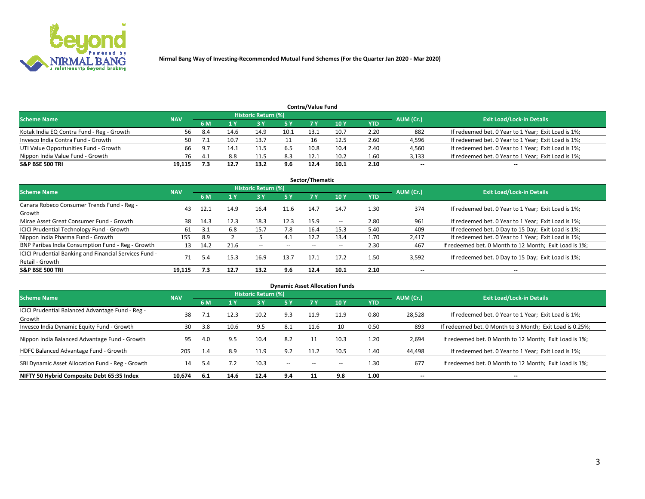

| <b>Contra/Value Fund</b>                  |            |      |      |                     |      |      |      |      |           |                                                     |  |  |  |  |
|-------------------------------------------|------------|------|------|---------------------|------|------|------|------|-----------|-----------------------------------------------------|--|--|--|--|
| <b>Scheme Name</b>                        | <b>NAV</b> |      |      | Historic Return (%) |      |      |      |      | AUM (Cr.) | <b>Exit Load/Lock-in Details</b>                    |  |  |  |  |
|                                           |            | 6 M  |      |                     | 5 Y  | 7 V  | 10Y  | YTD  |           |                                                     |  |  |  |  |
| Kotak India EQ Contra Fund - Reg - Growth | 56         | -8.4 | 14.6 | 14.9                | 10.1 | 13.1 | 10.7 | 2.20 | 882       | If redeemed bet. 0 Year to 1 Year; Exit Load is 1%; |  |  |  |  |
| Invesco India Contra Fund - Growth        | 50         |      | 10.7 | 13.7                |      |      | 12.5 | 2.60 | 4,596     | If redeemed bet. 0 Year to 1 Year; Exit Load is 1%; |  |  |  |  |
| UTI Value Opportunities Fund - Growth     | 66         | 9.7  | 14.1 | 11.5                | 6.5  | 10.8 | 10.4 | 2.40 | 4,560     | If redeemed bet. 0 Year to 1 Year; Exit Load is 1%; |  |  |  |  |
| Nippon India Value Fund - Growth          | 76         | 4.   | 8.8  |                     | 8.3  | 12.1 | 10.2 | 1.60 | 3,133     | If redeemed bet. 0 Year to 1 Year; Exit Load is 1%; |  |  |  |  |
| <b>S&amp;P BSE 500 TRI</b>                | 19.115     |      | 12.7 | 13.2                | 9.6  | 12.4 | 10.1 | 2.10 | $\sim$    | $- -$                                               |  |  |  |  |

| Sector/Thematic                                                           |            |      |      |                     |      |       |               |            |                          |                                                        |  |  |  |  |
|---------------------------------------------------------------------------|------------|------|------|---------------------|------|-------|---------------|------------|--------------------------|--------------------------------------------------------|--|--|--|--|
| <b>Scheme Name</b>                                                        | <b>NAV</b> |      |      | Historic Return (%) |      |       |               |            | AUM (Cr.)                | <b>Exit Load/Lock-in Details</b>                       |  |  |  |  |
|                                                                           |            | 6 M  | 1 Y  | <b>3 Y</b>          | 5 Y  | 7 Y   | 10Y           | <b>YTD</b> |                          |                                                        |  |  |  |  |
| Canara Robeco Consumer Trends Fund - Reg -<br>Growth                      | 43         | 12.1 | 14.9 | 16.4                | 11.6 | 14.7  | 14.7          | 1.30       | 374                      | If redeemed bet. 0 Year to 1 Year; Exit Load is 1%;    |  |  |  |  |
| Mirae Asset Great Consumer Fund - Growth                                  | 38         | 14.3 | 12.3 | 18.3                | 12.3 | 15.9  | $\sim$ $\sim$ | 2.80       | 961                      | If redeemed bet. 0 Year to 1 Year; Exit Load is 1%;    |  |  |  |  |
| ICICI Prudential Technology Fund - Growth                                 | 61         |      | 6.8  | 15.7                | 7.8  | 16.4  | 15.3          | 5.40       | 409                      | If redeemed bet. 0 Day to 15 Day; Exit Load is 1%;     |  |  |  |  |
| Nippon India Pharma Fund - Growth                                         | 155        | 8.9  |      |                     | 4.1  | 12.2  | 13.4          | 1.70       | 2.417                    | If redeemed bet. 0 Year to 1 Year; Exit Load is 1%;    |  |  |  |  |
| BNP Paribas India Consumption Fund - Reg - Growth                         | 13         | 14.2 | 21.6 | $- -$               | $ -$ | $- -$ | --            | 2.30       | 467                      | If redeemed bet. 0 Month to 12 Month; Exit Load is 1%; |  |  |  |  |
| ICICI Prudential Banking and Financial Services Fund -<br>Retail - Growth | 71         | 5.4  | 15.3 | 16.9                | 13.7 | 17.1  | 17.2          | 1.50       | 3,592                    | If redeemed bet. 0 Day to 15 Day; Exit Load is 1%;     |  |  |  |  |
| <b>S&amp;P BSE 500 TRI</b>                                                | 19,115     | 7.3  | 12.7 | 13.2                | 9.6  | 12.4  | 10.1          | 2.10       | $\overline{\phantom{a}}$ | $\overline{\phantom{a}}$                               |  |  |  |  |

|                                                            |            |     |      |                            |        |       | <b>Dynamic Asset Allocation Funds</b> |            |           |                                                          |
|------------------------------------------------------------|------------|-----|------|----------------------------|--------|-------|---------------------------------------|------------|-----------|----------------------------------------------------------|
| Scheme Name                                                | <b>NAV</b> |     |      | <b>Historic Return (%)</b> |        |       |                                       |            | AUM (Cr.) | <b>Exit Load/Lock-in Details</b>                         |
|                                                            |            | 6 M | 1 Y  | 73 Y                       | 5 Y    |       | 10Y                                   | <b>YTD</b> |           |                                                          |
| ICICI Prudential Balanced Advantage Fund - Reg -<br>Growth | 38         |     | 12.3 | 10.2                       | 9.3    | 11.9  | 11.9                                  | 0.80       | 28,528    | If redeemed bet. 0 Year to 1 Year; Exit Load is 1%;      |
| Invesco India Dynamic Equity Fund - Growth                 | 30         | 3.8 | 10.6 | 9.5                        | 8.1    | 11.6  | 10                                    | 0.50       | 893       | If redeemed bet. 0 Month to 3 Month; Exit Load is 0.25%; |
| Nippon India Balanced Advantage Fund - Growth              | 95         | 4.0 | 9.5  | 10.4                       | 8.2    |       | 10.3                                  | 1.20       | 2,694     | If redeemed bet. 0 Month to 12 Month; Exit Load is 1%;   |
| HDFC Balanced Advantage Fund - Growth                      | 205        | 1.4 | 8.9  | 11.9                       | 9.2    | 11.2  | 10.5                                  | 1.40       | 44,498    | If redeemed bet. 0 Year to 1 Year; Exit Load is 1%;      |
| SBI Dynamic Asset Allocation Fund - Reg - Growth           | 14         | 5.4 | 7.2  | 10.3                       | $\sim$ | $- -$ | $\overline{\phantom{a}}$              | 1.30       | 677       | If redeemed bet. 0 Month to 12 Month; Exit Load is 1%;   |
| NIFTY 50 Hybrid Composite Debt 65:35 Index                 | 10,674     | 6.1 | 14.6 | 12.4                       | 9.4    | 11    | 9.8                                   | 1.00       | --        | --                                                       |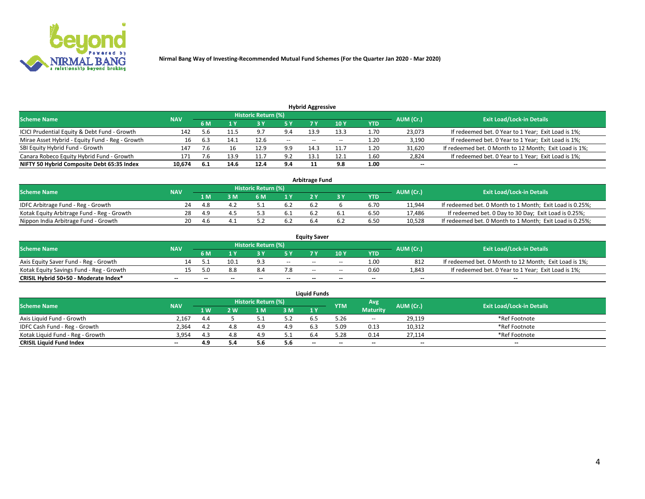

| <b>Hybrid Aggressive</b>                                                                                        |        |       |      |      |        |                          |       |      |                          |                                                        |  |  |  |  |
|-----------------------------------------------------------------------------------------------------------------|--------|-------|------|------|--------|--------------------------|-------|------|--------------------------|--------------------------------------------------------|--|--|--|--|
| <b>Historic Return (%)</b><br><b>Exit Load/Lock-in Details</b><br>AUM (Cr.)<br><b>Scheme Name</b><br><b>NAV</b> |        |       |      |      |        |                          |       |      |                          |                                                        |  |  |  |  |
|                                                                                                                 |        | 6 M   |      |      |        |                          | 10Y   | YTD  |                          |                                                        |  |  |  |  |
| ICICI Prudential Equity & Debt Fund - Growth                                                                    | 142    |       |      | 9.7  | 9.4    | 13.9                     | 13.3  | 1.70 | 23,073                   | If redeemed bet. 0 Year to 1 Year; Exit Load is 1%;    |  |  |  |  |
| Mirae Asset Hybrid - Equity Fund - Reg - Growth                                                                 | 16     | 6.3   | 14.1 | 12.6 | $\sim$ | $\overline{\phantom{a}}$ | $- -$ | 1.20 | 3,190                    | If redeemed bet. 0 Year to 1 Year; Exit Load is 1%;    |  |  |  |  |
| SBI Equity Hybrid Fund - Growth                                                                                 | 147    |       | 16   | 12.9 | 9.9    | 14.3                     | 11.7  | 1.20 | 31,620                   | If redeemed bet. 0 Month to 12 Month; Exit Load is 1%; |  |  |  |  |
| Canara Robeco Equity Hybrid Fund - Growth                                                                       | 171    |       | 13.9 |      | 9.2    | 13.1                     | 12.1  | 1.60 | 2,824                    | If redeemed bet. 0 Year to 1 Year; Exit Load is 1%;    |  |  |  |  |
| NIFTY 50 Hybrid Composite Debt 65:35 Index                                                                      | 10,674 | - 6.1 | 14.6 | 12.4 | 9.4    |                          | 9.8   | 1.00 | $\overline{\phantom{a}}$ | $- -$                                                  |  |  |  |  |

|                                            |            |           |                                  |     |      | <b>Arbitrage Fund</b> |      |        |                                                          |
|--------------------------------------------|------------|-----------|----------------------------------|-----|------|-----------------------|------|--------|----------------------------------------------------------|
| Scheme Name                                | <b>NAV</b> | AUM (Cr.) | <b>Exit Load/Lock-in Details</b> |     |      |                       |      |        |                                                          |
|                                            |            | 1 M       | ያ M                              | 6 M |      |                       | YTD  |        |                                                          |
| IDFC Arbitrage Fund - Reg - Growth         | 24         | -4.8      |                                  |     | 6.2  | 6.2                   | 6.70 | 11,944 | If redeemed bet. 0 Month to 1 Month; Exit Load is 0.25%; |
| Kotak Equity Arbitrage Fund - Reg - Growth | 28         | 4.9       |                                  |     | -6.1 |                       | 6.50 | 17,486 | If redeemed bet. 0 Day to 30 Day; Exit Load is 0.25%;    |
| Nippon India Arbitrage Fund - Growth       | 20         | 4.b       |                                  |     | 6.2  |                       | 6.50 | 10.528 | If redeemed bet. 0 Month to 1 Month; Exit Load is 0.25%; |

|                                          |            |           |                                  |                          |                          | <b>Equity Saver</b> |               |            |                          |                                                        |
|------------------------------------------|------------|-----------|----------------------------------|--------------------------|--------------------------|---------------------|---------------|------------|--------------------------|--------------------------------------------------------|
| Scheme Name                              | <b>NAV</b> | AUM (Cr.) | <b>Exit Load/Lock-in Details</b> |                          |                          |                     |               |            |                          |                                                        |
|                                          |            | 6 M       |                                  |                          | 5 Y                      |                     | $\sqrt{10}$ Y | <b>YTD</b> |                          |                                                        |
| Axis Equity Saver Fund - Reg - Growth    |            |           | 10.1                             | Q <sub>1</sub>           | $\sim$                   | $- -$               | $- -$         | 1.00       | 812                      | If redeemed bet. 0 Month to 12 Month; Exit Load is 1%; |
| Kotak Equity Savings Fund - Reg - Growth |            | 5.በ       | 8.8                              | 8.4                      | 7.8                      | $\sim$ $\sim$       | $- -$         | 0.60       | 1,843                    | If redeemed bet. 0 Year to 1 Year; Exit Load is 1%;    |
| CRISIL Hybrid 50+50 - Moderate Index*    |            | $-$       | $-$                              | $\overline{\phantom{a}}$ | $\overline{\phantom{a}}$ | $\sim$              | --            | $- -$      | $\overline{\phantom{a}}$ | $- -$                                                  |

| <b>Liquid Funds</b>              |            |      |     |                            |      |                          |            |                 |           |                                  |  |  |  |  |
|----------------------------------|------------|------|-----|----------------------------|------|--------------------------|------------|-----------------|-----------|----------------------------------|--|--|--|--|
| Scheme Name                      | <b>NAV</b> |      |     | <b>Historic Return (%)</b> |      |                          | <b>YTM</b> | Avg             | AUM (Cr.) | <b>Exit Load/Lock-in Details</b> |  |  |  |  |
|                                  |            | 1 W. | ว พ | 1 M                        | 3 M  | 1 Y                      |            | <b>Maturity</b> |           |                                  |  |  |  |  |
| Axis Liquid Fund - Growth        | 2.167      | 4.4  |     |                            | 5.2  |                          | 5.26       | $ -$            | 29,119    | *Ref Footnote                    |  |  |  |  |
| IDFC Cash Fund - Reg - Growth    | 2.364      | -4.2 |     |                            | 4.9  | 6.3                      | 5.09       | 0.13            | 10,312    | *Ref Footnote                    |  |  |  |  |
| Kotak Liquid Fund - Reg - Growth | 3,954      | 4.3  |     | 4.9                        | ۰۰ ت |                          | 5.28       | 0.14            | 27,114    | *Ref Footnote                    |  |  |  |  |
| <b>CRISIL Liquid Fund Index</b>  | $- -$      | 4.9  |     |                            | 5.6  | $\overline{\phantom{a}}$ | $- -$      | $- -$           | $\sim$    | $\sim$                           |  |  |  |  |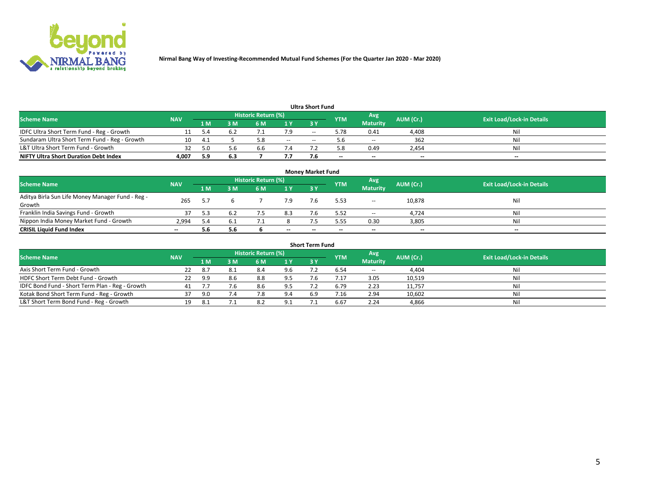

|                                               |            |     |     |                            |     | <b>Ultra Short Fund</b> |            |                 |           |                                  |
|-----------------------------------------------|------------|-----|-----|----------------------------|-----|-------------------------|------------|-----------------|-----------|----------------------------------|
| <b>Scheme Name</b>                            | <b>NAV</b> |     |     | <b>Historic Return (%)</b> |     |                         | <b>YTM</b> | Avg             | AUM (Cr.) | <b>Exit Load/Lock-in Details</b> |
|                                               |            | 1 M | 3 M | 6 M                        | 1 Y | 3 Y                     |            | <b>Maturity</b> |           |                                  |
| IDFC Ultra Short Term Fund - Reg - Growth     |            |     |     |                            |     | $- -$                   | 5.78       | 0.41            | 4,408     | Nil                              |
| Sundaram Ultra Short Term Fund - Reg - Growth |            | 4.  |     |                            | $-$ | --                      |            | $ -$            | 362       | Nil                              |
| L&T Ultra Short Term Fund - Growth            |            |     | 5.b | b.b                        |     |                         | - 8        | 0.49            | 2,454     | Nil                              |
| <b>NIFTY Ultra Short Duration Debt Index</b>  | 4.007      | 5.9 | 6.3 |                            | 7.7 |                         | $\sim$     | $\sim$          | $\sim$    | $- -$                            |

| <b>Money Market Fund</b>                                   |            |     |     |                     |       |    |            |                 |           |                                  |  |  |  |
|------------------------------------------------------------|------------|-----|-----|---------------------|-------|----|------------|-----------------|-----------|----------------------------------|--|--|--|
| <b>Scheme Name</b>                                         | <b>NAV</b> |     |     | Historic Return (%) |       |    | <b>YTM</b> | 'Avg            | AUM (Cr.) | <b>Exit Load/Lock-in Details</b> |  |  |  |
|                                                            |            | 1 M | 3 M | 6 M                 | 1 Y   | 3Y |            | <b>Maturity</b> |           |                                  |  |  |  |
| Aditya Birla Sun Life Money Manager Fund - Reg -<br>Growth | 265        |     |     |                     | 7.9   |    | 5.53       | $\sim$          | 10,878    | Nil                              |  |  |  |
| Franklin India Savings Fund - Growth                       |            |     |     |                     | 8.3   |    | 5.52       | $\sim$          | 4,724     | Nil                              |  |  |  |
| Nippon India Money Market Fund - Growth                    | 2.994      | 5.4 | b.1 |                     |       |    | 5.55       | 0.30            | 3,805     | Nil                              |  |  |  |
| <b>CRISIL Liquid Fund Index</b>                            | $- -$      | 5.6 | 5.6 |                     | $- -$ | -- | --         | $\sim$          | $\sim$    | $\sim$                           |  |  |  |

| <b>Short Term Fund</b>                          |            |      |     |                            |     |            |            |                 |           |                                  |  |  |  |  |
|-------------------------------------------------|------------|------|-----|----------------------------|-----|------------|------------|-----------------|-----------|----------------------------------|--|--|--|--|
| <b>Scheme Name</b>                              | <b>NAV</b> |      |     | <b>Historic Return (%)</b> |     |            | <b>YTM</b> | Avg             | AUM (Cr.) | <b>Exit Load/Lock-in Details</b> |  |  |  |  |
|                                                 |            | 1 M  | 3 M | 6 M                        | 1Y  | <b>3 Y</b> |            | <b>Maturity</b> |           |                                  |  |  |  |  |
| Axis Short Term Fund - Growth                   |            | -8.7 | 8.1 | 8.4                        | 9.6 |            | 6.54       | $-$             | 4,404     | Nil                              |  |  |  |  |
| HDFC Short Term Debt Fund - Growth              | 22         | 9.9  | 8.6 | 8.8                        | 9.5 |            | 4.17       | 3.05            | 10,519    | Nil                              |  |  |  |  |
| IDFC Bond Fund - Short Term Plan - Reg - Growth |            |      | 7.6 | 8.6                        | 9.5 |            | 6.79       | 2.23            | 11,757    | Nil                              |  |  |  |  |
| Kotak Bond Short Term Fund - Reg - Growth       |            | 9.0  | 7.4 |                            | 9.4 | 6.9        | 7.16       | 2.94            | 10,602    | Nil                              |  |  |  |  |
| L&T Short Term Bond Fund - Reg - Growth         |            |      |     | 8.2                        | 9.1 |            | 6.67       | 2.24            | 4,866     | Nil                              |  |  |  |  |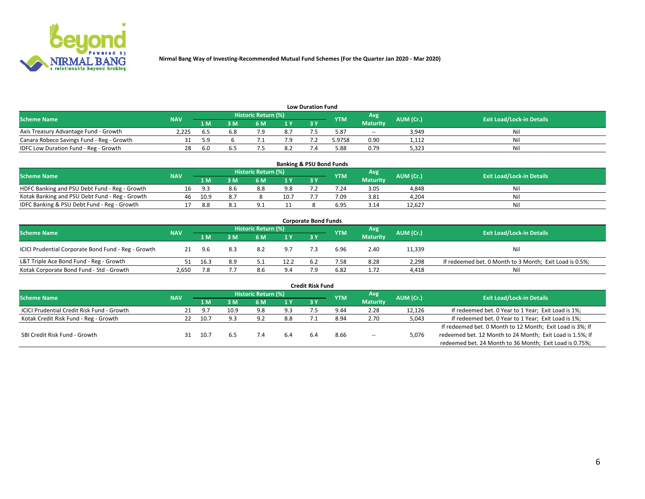

| <b>Low Duration Fund</b>                  |            |      |     |                            |     |  |            |                 |           |                                  |  |  |  |  |
|-------------------------------------------|------------|------|-----|----------------------------|-----|--|------------|-----------------|-----------|----------------------------------|--|--|--|--|
| <b>Scheme Name</b>                        | <b>NAV</b> |      |     | <b>Historic Return (%)</b> |     |  | <b>YTM</b> | Avg             | AUM (Cr.) | <b>Exit Load/Lock-in Details</b> |  |  |  |  |
|                                           |            | 1 M  | ያ M | 5 M                        | 1 V |  |            | <b>Maturity</b> |           |                                  |  |  |  |  |
| Axis Treasury Advantage Fund - Growth     | 2.225      |      | 6.8 |                            | 8.7 |  | 5.87       | $- -$           | 3,949     | Nil                              |  |  |  |  |
| Canara Robeco Savings Fund - Reg - Growth |            |      |     |                            |     |  | 5.9758     | 0.90            | 1,112     | Nil                              |  |  |  |  |
| IDFC Low Duration Fund - Reg - Growth     |            | -6.0 |     |                            | 8.2 |  | 5.88       | 0.79            | 5,323     | Nil                              |  |  |  |  |

| <b>Banking &amp; PSU Bond Funds</b>            |            |       |     |                            |      |    |            |                 |           |                                  |  |  |  |
|------------------------------------------------|------------|-------|-----|----------------------------|------|----|------------|-----------------|-----------|----------------------------------|--|--|--|
| <b>Scheme Name</b>                             | <b>NAV</b> |       |     | <b>Historic Return (%)</b> |      |    | <b>YTM</b> | Avg             | AUM (Cr.) | <b>Exit Load/Lock-in Details</b> |  |  |  |
|                                                |            | 1 M   | sм  | 6 M                        | 71 Y | 3Y |            | <b>Maturity</b> |           |                                  |  |  |  |
| HDFC Banking and PSU Debt Fund - Reg - Growth  |            | - Q 3 | 8.6 | 8.8                        | 9.8  |    | 7.24       | 3.05            | 4,848     | Ni                               |  |  |  |
| Kotak Banking and PSU Debt Fund - Reg - Growth | 46         | 10.9  |     |                            | 10.7 |    | 7.09       | 3.81            | 4,204     | Ni                               |  |  |  |
| IDFC Banking & PSU Debt Fund - Reg - Growth    |            | 8.8   |     |                            |      |    | 6.95       | 3.14            | 12.627    | Ni                               |  |  |  |

| <b>Corporate Bond Funds</b>                         |            |      |                            |            |      |            |                                  |                 |        |                                                         |  |  |  |  |
|-----------------------------------------------------|------------|------|----------------------------|------------|------|------------|----------------------------------|-----------------|--------|---------------------------------------------------------|--|--|--|--|
| <b>Scheme Name</b>                                  | <b>NAV</b> |      | <b>Historic Return (%)</b> | <b>YTM</b> | Avg  | AUM (Cr.)  | <b>Exit Load/Lock-in Details</b> |                 |        |                                                         |  |  |  |  |
|                                                     |            | 1 M  | 8 M                        | 6 M        | 1 Y  | <b>3 Y</b> |                                  | <b>Maturity</b> |        |                                                         |  |  |  |  |
| ICICI Prudential Corporate Bond Fund - Reg - Growth |            | 9.6  | 8.3                        | 8.2        | 9.7  |            | 6.96                             | 2.40            | 11,339 | Nil                                                     |  |  |  |  |
| L&T Triple Ace Bond Fund - Reg - Growth             |            | 16.3 | 8.9                        |            | 12.2 | -6.2       | 7.58                             | 8.28            | 2,298  | If redeemed bet. 0 Month to 3 Month; Exit Load is 0.5%; |  |  |  |  |
| Kotak Corporate Bond Fund - Std - Growth            | 2,650      |      |                            | 8.6        | 9.4  |            | 6.82                             | 1.72            | 4,418  | Nil                                                     |  |  |  |  |

|                                            |            |       |      |                     |     | <b>Credit Risk Fund</b> |            |                 |           |                                                           |
|--------------------------------------------|------------|-------|------|---------------------|-----|-------------------------|------------|-----------------|-----------|-----------------------------------------------------------|
| <b>Scheme Name</b>                         | <b>NAV</b> |       |      | Historic Return (%) |     |                         | <b>YTM</b> | Avg             | AUM (Cr.) | <b>Exit Load/Lock-in Details</b>                          |
|                                            |            | 1 M   | I M  | 6 M                 | 1 Y | 3Y                      |            | <b>Maturity</b> |           |                                                           |
| ICICI Prudential Credit Risk Fund - Growth |            | - Q 7 | 10.9 | 9.8                 | 9.3 |                         | 9.44       | 2.28            | 12,126    | If redeemed bet. 0 Year to 1 Year; Exit Load is 1%;       |
| Kotak Credit Risk Fund - Reg - Growth      |            | 10.7  | 9.3  | 9.2                 | 8.8 |                         | 8.94       | 2.70            | 5,043     | If redeemed bet. 0 Year to 1 Year; Exit Load is 1%;       |
|                                            |            |       |      |                     |     |                         |            |                 |           | If redeemed bet. 0 Month to 12 Month; Exit Load is 3%; If |
| SBI Credit Risk Fund - Growth              |            | 10.7  |      |                     |     |                         | 8.66       | $\sim$          | 5,076     | redeemed bet. 12 Month to 24 Month; Exit Load is 1.5%; If |
|                                            |            |       |      |                     |     |                         |            |                 |           | redeemed bet. 24 Month to 36 Month; Exit Load is 0.75%;   |